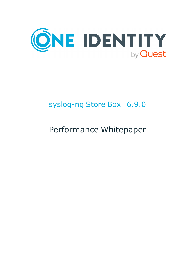

# syslog-ng Store Box 6.9.0

# Performance Whitepaper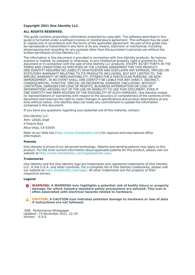#### **Copyright 2021 One Identity LLC.**

#### **ALL RIGHTS RESERVED.**

This guide contains proprietary information protected by copyright. The software described in this guide is furnished under a software license or nondisclosure agreement. This software may be used or copied only in accordance with the terms of the applicable agreement. No part of this guide may be reproduced or transmitted in any form or by any means, electronic or mechanical, including photocopying and recording for any purpose other than the purchaser's personal use without the written permission of One Identity LLC .

The information in this document is provided in connection with One Identity products. No license, express or implied, by estoppel or otherwise, to any intellectual property right is granted by this document or in connection with the sale of One Identity LLC products. EXCEPT AS SET FORTH IN THE TERMS AND CONDITIONS AS SPECIFIED IN THE LICENSE AGREEMENT FOR THIS PRODUCT, ONE IDENTITY ASSUMES NO LIABILITY WHATSOEVER AND DISCLAIMS ANY EXPRESS, IMPLIED OR STATUTORY WARRANTY RELATING TO ITS PRODUCTS INCLUDING, BUT NOT LIMITED TO, THE IMPLIED WARRANTY OF MERCHANTABILITY, FITNESS FOR A PARTICULAR PURPOSE, OR NON-INFRINGEMENT. IN NO EVENT SHALL ONE IDENTITY BE LIABLE FOR ANY DIRECT, INDIRECT, CONSEQUENTIAL, PUNITIVE, SPECIAL OR INCIDENTAL DAMAGES (INCLUDING, WITHOUT LIMITATION, DAMAGES FOR LOSS OF PROFITS, BUSINESS INTERRUPTION OR LOSS OF INFORMATION) ARISING OUT OF THE USE OR INABILITY TO USE THIS DOCUMENT, EVEN IF ONE IDENTITY HAS BEEN ADVISED OF THE POSSIBILITY OF SUCH DAMAGES. One Identity makes no representations or warranties with respect to the accuracy or completeness of the contents of this document and reserves the right to make changes to specifications and product descriptions at any time without notice. One Identity does not make any commitment to update the information contained in this document.

If you have any questions regarding your potential use of this material, contact:

One Identity LLC. Attn: LEGAL Dept 4 Polaris Way Aliso Viejo, CA 92656

Refer to our Web site [\(http://www.OneIdentity.com](http://www.oneidentity.com/)) for regional and international office information.

#### **Patents**

One Identity is proud of our advanced technology. Patents and pending patents may apply to this product. For the most current information about applicable patents for this product, please visit our website at [http://www.OneIdentity.com/legal/patents.aspx.](http://www.oneidentity.com/legal/patents.aspx)

#### **Trademarks**

One Identity and the One Identity logo are trademarks and registered trademarks of One Identity LLC. in the U.S.A. and other countries. For a complete list of One Identity trademarks, please visit our website at [www.OneIdentity.com/legal](http://www.oneidentity.com/legal). All other trademarks are the property of their respective owners.

#### **Legend**

**WARNING: A WARNING icon highlights a potential risk of bodily injury or property** œ **damage, for which industry-standard safety precautions are advised. This icon is often associated with electrical hazards related to hardware.**

**CAUTION: A CAUTION icon indicates potential damage to hardware or loss of data if instructions are not followed.**

SSB Performance Whitepaper Updated - 15 November 2021, 12:29 Version - 6.9.0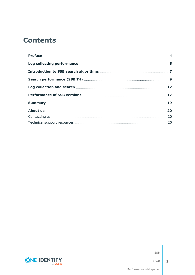### **Contents**

| Log collecting performance manufactured and 5 |    |
|-----------------------------------------------|----|
|                                               |    |
|                                               |    |
|                                               |    |
|                                               |    |
|                                               |    |
|                                               | 20 |
|                                               |    |
|                                               |    |



SSB

**3**

Performance Whitepaper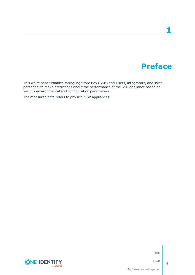## **Preface**

**1**

<span id="page-3-0"></span>This white paper enables syslog-ng Store Box (SSB) end-users, integrators, and sales personnel to make predictions about the performance of the SSB appliance based on various environmental and configuration parameters.

The measured data refers to physical SSB appliances.



SSB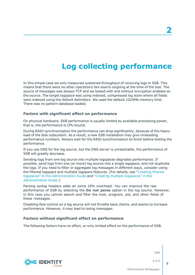## **Log collecting performance**

<span id="page-4-0"></span>In this simple case we only measured sustained throughput of receiving logs in SSB. This means that there were no other operations like search ongoing at the time of the test. The source of messages was always TCP and we tested with and without encryption enabled on the source. The target logspace was using indexed, compressed log store where all fields were indexed using the default delimiters. We used the default 1024Mb memory limit. There was no pattern database loaded.

#### **Factors with significant effect on performance**

On physical hardware, SSB performance is usually limited by available processing power, that is, the performance is CPU bound.

During RAID synchronization the performance can drop significantly, because of the heavy load of the disk subsystem. As a result, a new SSB installation may give misleading performance numbers. Always wait for the RAID synchronization to finish before testing the performance.

If you use DNS for the log source, but the DNS server is unreachable, the performance of SSB will greatly decrease.

Sending logs from one log source into multiple logspaces degrades performance. If possible, send logs from one (or more) log source into a single logspace, and not duplicate the logs. If you need to filter or aggregate log messages in different ways, consider using the filtered logspace and multiple logspace features. (For details, see ["Creating](https://support.oneidentity.com/technical-documents/syslog-ng-store-box/6.9.0/administration-guide/storing-messages-on-ssb/creating-filtered-logspaces/) filtered logspaces" in the [Administration](https://support.oneidentity.com/technical-documents/syslog-ng-store-box/6.9.0/administration-guide/storing-messages-on-ssb/creating-filtered-logspaces/) Guide and "Creating multiple [logspaces"](https://support.oneidentity.com/technical-documents/syslog-ng-store-box/6.9.0/administration-guide/storing-messages-on-ssb/creating-multiple-logspaces/) in the [Administration](https://support.oneidentity.com/technical-documents/syslog-ng-store-box/6.9.0/administration-guide/storing-messages-on-ssb/creating-multiple-logspaces/) Guide.)

Parsing syslog headers adds an extra 18% overhead. You can improve the raw performance of SSB by selecting the **Do not parse** option in the log source. However, in this case you cannot search and filter the host, program, pid, and other fields of these messages.

Disabling flow control on a log source will not throttle back clients, and seems to increase performance. However, it may lead to losing messages.

#### **Factors without significant effect on performance**

The following factors have no effect, or only limited effect on the performance of SSB.

SSB



6.9.0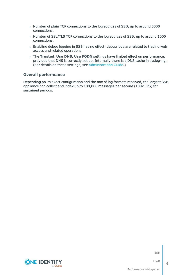- Number of plain TCP connections to the log sources of SSB, up to around 5000 connections.
- Number of SSL/TLS TCP connections to the log sources of SSB, up to around 1000 connections.
- Enabling debug logging in SSB has no effect: debug logs are related to tracing web access and related operations.
- <sup>l</sup> The **Trusted**, **Use DNS**, **Use FQDN** settings have limited effect on performance, provided that DNS is correctly set up. Internally there is a DNS cache in syslog-ng. (For details on these settings, see [Administration](https://support.oneidentity.com/technical-documents/syslog-ng-store-box/6.9.0/administration-guide//) Guide.)

#### **Overall performance**

Depending on its exact configuration and the mix of log formats received, the largest SSB appliance can collect and index up to 100,000 messages per second (100k EPS) for sustained periods.

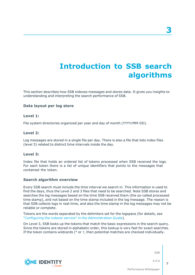## **Introduction to SSB search algorithms**

<span id="page-6-0"></span>This section describes how SSB indexes messages and stores data. It gives you insights to understanding and interpreting the search performance of SSB.

### **Data layout per log store**

#### **Level 1:**

File system directories organized per year and day of month (YYYY/MM-DD).

#### **Level 2:**

Log messages are stored in a single file per day. There is also a file that lists index files (level 3) related to distinct time intervals inside the day.

#### **Level 3:**

Index file that holds an ordered list of tokens processed when SSB received the logs. For each token there is a list of unique identifiers that points to the messages that contained the token.

#### **Search algorithm overview**

**CONE IDENTITY** 

Every SSB search must include the time interval we search in. This information is used to find the days, thus the Level 2 and 3 files that need to be searched. Note SSB stores and searches the log messages based on the time SSB received them (the so-called processed time stamp), and not based on the time stamp included in the log message. The reason is that SSB collects logs in real-time, and also the time stamp in the log messages may not be reliable or complete.

Tokens are the words separated by the delimiters set for the logspace (for details, see "Configuring the indexer service" in the [Administration](https://support.oneidentity.com/technical-documents/syslog-ng-store-box/6.9.0/administration-guide/storing-messages-on-ssb/using-logstores/configuring-the-indexer-service/) Guide).

On Level 3, SSB looks up the tokens that match the basic expressions in the search query. Since the tokens are stored in alphabetic order, this lookup is very fast for exact searches. If the token contains wildcards (\* or ?, then potential matches are checked individually.

SSB

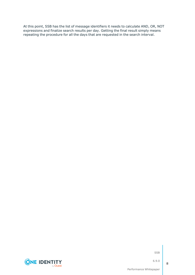At this point, SSB has the list of message identifiers it needs to calculate AND, OR, NOT expressions and finalize search results per day. Getting the final result simply means repeating the procedure for all the days that are requested in the search interval.



SSB

6.9.0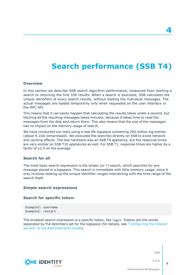## **Search performance (SSB T4)**

#### <span id="page-8-0"></span>**Overview**

In this section we describe SSB search algorithm performance, measured from starting a search to returning the first 100 results. When a search is executed, SSB calculates the unique identifiers of every search results, without loading the individual messages. The actual messages are loaded temporarily only when requested on the user interface or the RPC API.

This means that it can easily happen that calculating the results takes under a second, but fetching all the resulting messages takes minutes, because it takes time to read the messages from the disk and return them. This also means that the size of the messages has no impact on the memory usage of search.

We have conducted our tests using a real life logspace containing 200 million log entries (about 9.1Gb compressed). We executed the searches directly on SSB to avoid network and caching effects. The test hardware was an SSB T4 appliance, but the response times are very similar on SSB T10 appliances as well. For SSB T1, response times are higher by a factor of x2.5 on the average.

#### **Search for all**

The most basic search expression is the empty (or  $*$ ) search, which searches for any message stored in a logspace. This search is immediate with little memory usage, since it only involves looking up the unique identifier ranges intersecting with the time range of the search itself.

#### **Simple search expressions**

#### **Search for specific token:**

Example1: username Example2: restart

**CONE IDENTITY** 

The simplest search expression is a specific token, like login. Tokens are the words separated by the delimiters set for the logspace (for details, see ["Configuring](https://support.oneidentity.com/technical-documents/syslog-ng-store-box/6.9.0/administration-guide/storing-messages-on-ssb/using-logstores/configuring-the-indexer-service/) the indexer service" in the [Administration](https://support.oneidentity.com/technical-documents/syslog-ng-store-box/6.9.0/administration-guide/storing-messages-on-ssb/using-logstores/configuring-the-indexer-service/) Guide).

SSB

6.9.0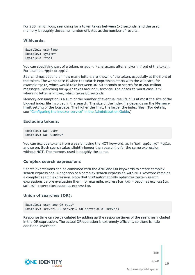For 200 million logs, searching for a token takes between 1-5 seconds, and the used memory is roughly the same number of bytes as the number of results.

#### **Wildcards:**

```
Example1: user?ame
Example2: system*
Example3: *tool
```
You can specifying part of a token, or add \*, ? characters after and/or in front of the token. For example \*pple or appl?.

Search times depend on how many letters are known of the token, especially at the front of the token. The worst case is when the search expression starts with the wildcard, for example \*pple, which would take between 30-60 seconds to search for in 200 million messages. Searching for appl\* takes around 9 seconds. The absolute worst case is \*? where no letter is known, which takes 80 seconds.

Memory consumption is a sum of the number of eventual results plus at most the size of the biggest index file involved in the search. The size of the index file depends on the **Memory limit** setting of the logspace. The higher the limit, the larger the index files. (For details, see "Configuring the indexer service" in the [Administration](https://support.oneidentity.com/technical-documents/syslog-ng-store-box/6.9.0/administration-guide/storing-messages-on-ssb/using-logstores/configuring-the-indexer-service/) Guide.)

#### **Excluding tokens:**

```
Example1: NOT user
Example2: NOT window*
```
You can exclude tokens from a search using the NOT keyword, as in "NOT apple, NOT \*pple, and so on. Such search takes slightly longer than searching for the same expression without NOT. The memory used is roughly the same.

#### **Complex search expressions**

Search expressions can be combined with the AND and OR keywords to create complex search expressions. A negation of a complex search expression with NOT keyword remains a complex search expression. Note that SSB automatically optimizes certain search expressions before evaluating them, for example, expression AND \* becomes expression, NOT NOT expression becomes expression.

#### **Union of searches (OR):**

Example1: username OR pass\* Example2: server1 OR server32 OR server50 OR server3

Response time can be calculated by adding up the response times of the searches included in the OR expression. The actual OR operation is extremely efficient, so there is little additional overhead.

**SSB** 

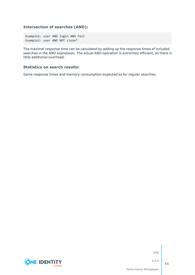### **Intersection of searches (AND):**

Example1: user AND login AND fail Example2: user AND NOT close\*

The maximal response time can be calculated by adding up the response times of included searches in the AND expression. The actual AND operation is extremely efficient, so there is little additional overhead.

#### **Statistics on search results:**

Same response times and memory consumption expected as for regular searches.



SSB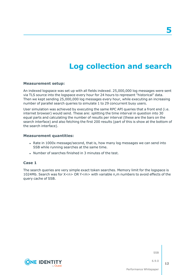## **Log collection and search**

#### <span id="page-11-0"></span>**Measurement setup:**

An indexed logspace was set up with all fields indexed. 25,000,000 log messages were sent via TLS source into the logspace every hour for 24 hours to represent "historical" data. Then we kept sending 25,000,000 log messages every hour, while executing an increasing number of parallel search queries to simulate 1 to 29 concurrent busy users.

User simulation was achieved by executing the same RPC API queries that a front end (i.e. internet browser) would send. These are: splitting the time interval in question into 30 equal parts and calculating the number of results per interval (these are the bars on the search interface) and also fetching the first 200 results (part of this is show at the bottom of the search interface).

#### **Measurement quantities:**

- Rate in 1000x message/second, that is, how many log messages we can send into SSB while running searches at the same time.
- Number of searches finished in 3 minutes of the test.

#### **Case 1**

The search queries are very simple exact token searches. Memory limit for the logspace is 1024Mb. Search was for X<n> OR Y<m> with variable n,m numbers to avoid effects of the query cache of SSB.

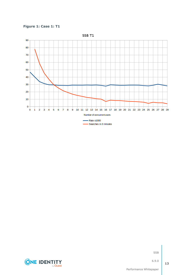





SSB

6.9.0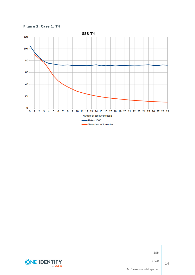**Figure 2: Case 1: T4**



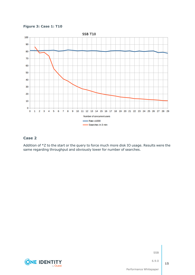**Figure 3: Case 1: T10**



### **Case 2**

Addition of \*Z to the start or the query to force much more disk IO usage. Results were the same regarding throughput and obviously lower for number of searches.

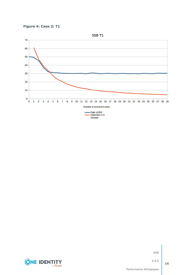





SSB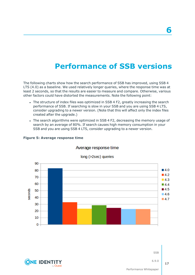## **Performance of SSB versions**

<span id="page-16-0"></span>The following charts show how the search performance of SSB has improved, using SSB 4 LTS (4.0) as a baseline. We used relatively longer queries, where the response time was at least 2 seconds, so that the results are easier to measure and compare. Otherwise, various other factors could have distorted the measurements. Note the following point:

- The structure of index files was optimized in SSB 4 F2, greatly increasing the search performance of SSB. If searching is slow in your SSB and you are using SSB 4 LTS, consider upgrading to a newer version. (Note that this will affect only the index files created after the upgrade.)
- The search algorithms were optimized in SSB 4 F2, decreasing the memory usage of search by an average of 80%. If search causes high memory consumption in your SSB and you are using SSB 4 LTS, consider upgrading to a newer version.



#### **Figure 5: Average response time**

### Average response time



Performance Whitepaper

SSB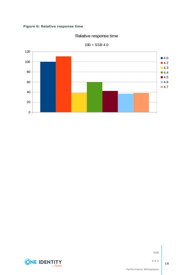### **Figure 6: Relative response time**

### Relative response time



 $100 = SSB 4.0$ 



SSB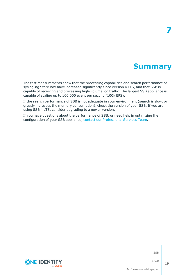### **Summary**

<span id="page-18-0"></span>The test measurements show that the processing capabilities and search performance of syslog-ng Store Box have increased significantly since version 4 LTS, and that SSB is capable of receiving and processing high-volume log traffic. The largest SSB appliance is capable of scaling up to 100,000 event per second (100k EPS).

If the search performance of SSB is not adequate in your environment (search is slow, or greatly increases the memory consumption), check the version of your SSB. If you are using SSB 4 LTS, consider upgrading to a newer version.

If you have questions about the performance of SSB, or need help in optimizing the configuration of your SSB appliance, contact our [Professional](https://support.oneidentity.com/professional-services-product-select) Services Team.



SSB